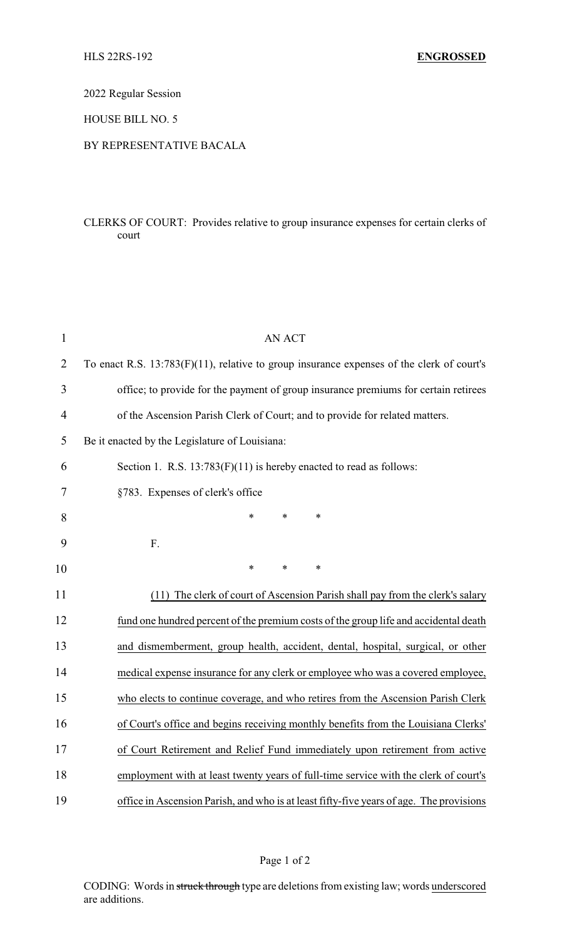2022 Regular Session

HOUSE BILL NO. 5

## BY REPRESENTATIVE BACALA

## CLERKS OF COURT: Provides relative to group insurance expenses for certain clerks of court

| $\mathbf{1}$   | <b>AN ACT</b>                                                                             |
|----------------|-------------------------------------------------------------------------------------------|
| $\overline{2}$ | To enact R.S. 13:783(F)(11), relative to group insurance expenses of the clerk of court's |
| 3              | office; to provide for the payment of group insurance premiums for certain retirees       |
| 4              | of the Ascension Parish Clerk of Court; and to provide for related matters.               |
| 5              | Be it enacted by the Legislature of Louisiana:                                            |
| 6              | Section 1. R.S. $13:783(F)(11)$ is hereby enacted to read as follows:                     |
| 7              | §783. Expenses of clerk's office                                                          |
| 8              | $\ast$<br>$\ast$<br>*                                                                     |
| 9              | F.                                                                                        |
| 10             | $\ast$<br>*<br>*                                                                          |
| 11             | (11) The clerk of court of Ascension Parish shall pay from the clerk's salary             |
| 12             | fund one hundred percent of the premium costs of the group life and accidental death      |
| 13             | and dismemberment, group health, accident, dental, hospital, surgical, or other           |
| 14             | medical expense insurance for any clerk or employee who was a covered employee,           |
| 15             | who elects to continue coverage, and who retires from the Ascension Parish Clerk          |
| 16             | of Court's office and begins receiving monthly benefits from the Louisiana Clerks'        |
| 17             | of Court Retirement and Relief Fund immediately upon retirement from active               |
| 18             | employment with at least twenty years of full-time service with the clerk of court's      |
| 19             | office in Ascension Parish, and who is at least fifty-five years of age. The provisions   |